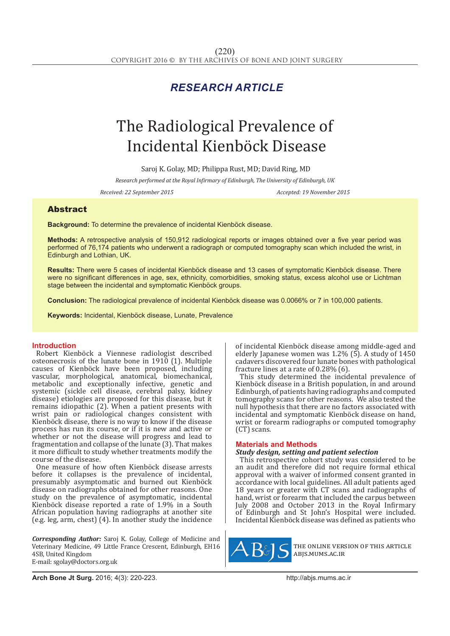# *RESEARCH ARTICLE*

# The Radiological Prevalence of Incidental Kienböck Disease

Saroj K. Golay, MD; Philippa Rust, MD; David Ring, MD

*Research performed at the Royal Infirmary of Edinburgh, The University of Edinburgh, UK*

*Received: 22 September 2015 Accepted: 19 November 2015*

# Abstract

**Background:** To determine the prevalence of incidental Kienböck disease.

**Methods:** A retrospective analysis of 150,912 radiological reports or images obtained over a five year period was performed of 76,174 patients who underwent a radiograph or computed tomography scan which included the wrist, in Edinburgh and Lothian, UK.

**Results:** There were 5 cases of incidental Kienböck disease and 13 cases of symptomatic Kienböck disease. There were no significant differences in age, sex, ethnicity, comorbidities, smoking status, excess alcohol use or Lichtman stage between the incidental and symptomatic Kienböck groups.

**Conclusion:** The radiological prevalence of incidental Kienböck disease was 0.0066% or 7 in 100,000 patients.

**Keywords:** Incidental, Kienböck disease, Lunate, Prevalence

## **Introduction**

Robert Kienböck a Viennese radiologist described osteonecrosis of the lunate bone in 1910 (1). Multiple causes of Kienböck have been proposed, including vascular, morphological, anatomical, biomechanical, metabolic and exceptionally infective, genetic and systemic (sickle cell disease, cerebral palsy, kidney disease) etiologies are proposed for this disease, but it remains idiopathic (2). When a patient presents with wrist pain or radiological changes consistent with Kienböck disease, there is no way to know if the disease process has run its course, or if it is new and active or whether or not the disease will progress and lead to fragmentation and collapse of the lunate (3). That makes it more difficult to study whether treatments modify the course of the disease.

One measure of how often Kienböck disease arrests before it collapses is the prevalence of incidental, presumably asymptomatic and burned out Kienböck disease on radiographs obtained for other reasons. One study on the prevalence of asymptomatic, incidental Kienböck disease reported a rate of 1.9% in a South African population having radiographs at another site (e.g. leg, arm, chest) (4). In another study the incidence

*Corresponding Author:* Saroj K. Golay, College of Medicine and Veterinary Medicine, 49 Little France Crescent, Edinburgh, EH16 4SB, United Kingdom E-mail: sgolay@doctors.org.uk

of incidental Kienböck disease among middle-aged and elderly Japanese women was  $1.2\%$  (5). A study of 1450 cadavers discovered four lunate bones with pathological fracture lines at a rate of 0.28% (6).

This study determined the incidental prevalence of Kienböck disease in a British population, in and around Edinburgh, of patients having radiographs and computed tomography scans for other reasons. We also tested the null hypothesis that there are no factors associated with incidental and symptomatic Kienböck disease on hand, wrist or forearm radiographs or computed tomography (CT) scans.

#### **Materials and Methods**

### *Study design, setting and patient selection*

This retrospective cohort study was considered to be an audit and therefore did not require formal ethical approval with a waiver of informed consent granted in accordance with local guidelines. All adult patients aged 18 years or greater with CT scans and radiographs of hand, wrist or forearm that included the carpus between July 2008 and October 2013 in the Royal Infirmary of Edinburgh and St John's Hospital were included. Incidental Kienböck disease was defined as patients who



the online version of this article abjs.mums.ac.ir

**Arch Bone Jt Surg.** 2016; 4(3): 220-223.http://abjs.mums.ac.ir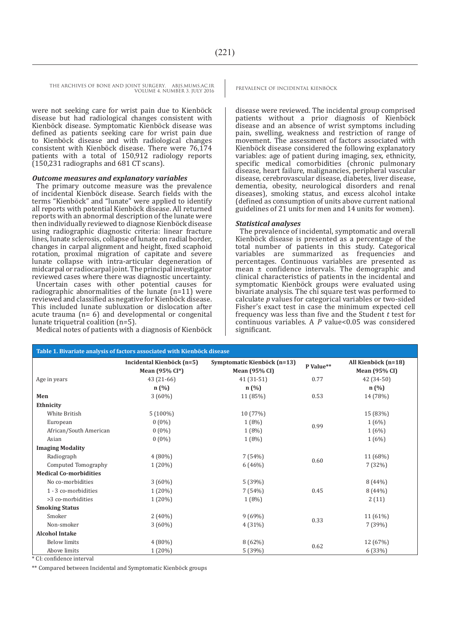THE ARCHIVES OF BONE AND JOINT SURGERY. ABJS.MUMS.AC.IR PREVALENCE OF INCIDENTAL KIENBÖCK VOLUME 4. NUMBER 3. JULY 2016

were not seeking care for wrist pain due to Kienböck disease but had radiological changes consistent with Kienböck disease. Symptomatic Kienböck disease was defined as patients seeking care for wrist pain due to Kienböck disease and with radiological changes consistent with Kienböck disease. There were 76,174 patients with a total of 150,912 radiology reports (150,231 radiographs and 681 CT scans).

#### *Outcome measures and explanatory variables*

The primary outcome measure was the prevalence of incidental Kienböck disease. Search fields with the terms "Kienböck" and "lunate" were applied to identify all reports with potential Kienböck disease. All returned reports with an abnormal description of the lunate were then individually reviewed to diagnose Kienböck disease using radiographic diagnostic criteria: linear fracture lines, lunate sclerosis, collapse of lunate on radial border, changes in carpal alignment and height, fixed scaphoid rotation, proximal migration of capitate and severe lunate collapse with intra-articular degeneration of midcarpal or radiocarpal joint. The principal investigator reviewed cases where there was diagnostic uncertainty.

Uncertain cases with other potential causes for radiographic abnormalities of the lunate (n=11) were reviewed and classified as negative for Kienböck disease. This included lunate subluxation or dislocation after acute trauma (n= 6) and developmental or congenital lunate triquetral coalition (n=5).

Medical notes of patients with a diagnosis of Kienböck

disease were reviewed. The incidental group comprised patients without a prior diagnosis of Kienböck disease and an absence of wrist symptoms including pain, swelling, weakness and restriction of range of movement. The assessment of factors associated with Kienböck disease considered the following explanatory variables: age of patient during imaging, sex, ethnicity, specific medical comorbidities (chronic pulmonary disease, heart failure, malignancies, peripheral vascular disease, cerebrovascular disease, diabetes, liver disease, dementia, obesity, neurological disorders and renal diseases), smoking status, and excess alcohol intake (defined as consumption of units above current national guidelines of 21 units for men and 14 units for women).

#### *Statistical analyses*

The prevalence of incidental, symptomatic and overall Kienböck disease is presented as a percentage of the total number of patients in this study. Categorical variables are summarized as frequencies and percentages. Continuous variables are presented as mean ± confidence intervals. The demographic and clinical characteristics of patients in the incidental and symptomatic Kienböck groups were evaluated using bivariate analysis. The chi square test was performed to calculate *p* values for categorical variables or two-sided Fisher's exact test in case the minimum expected cell frequency was less than five and the Student *t* test for continuous variables. A *P* value<0.05 was considered significant.

| Table 1. Bivariate analysis of factors associated with Kienböck disease |                                             |                                                     |           |                                             |  |  |
|-------------------------------------------------------------------------|---------------------------------------------|-----------------------------------------------------|-----------|---------------------------------------------|--|--|
|                                                                         | Incidental Kienböck (n=5)<br>Mean (95% CI*) | Symptomatic Kienböck (n=13)<br><b>Mean</b> (95% CI) | P Value** | All Kienböck (n=18)<br><b>Mean (95% CI)</b> |  |  |
| Age in years                                                            | $43(21-66)$                                 | $41(31-51)$                                         | 0.77      | 42 (34-50)                                  |  |  |
|                                                                         | n(%)                                        | n(%)                                                |           | n(%)                                        |  |  |
| Men                                                                     | $3(60\%)$                                   | 11 (85%)                                            | 0.53      | 14 (78%)                                    |  |  |
| Ethnicity                                                               |                                             |                                                     |           |                                             |  |  |
| White British                                                           | $5(100\%)$                                  | 10 (77%)                                            | 0.99      | 15 (83%)                                    |  |  |
| European                                                                | $0(0\%)$                                    | $1(8\%)$                                            |           | 1(6%)                                       |  |  |
| African/South American                                                  | $0(0\%)$                                    | $1(8\%)$                                            |           | 1(6%)                                       |  |  |
| Asian                                                                   | $0(0\%)$                                    | $1(8\%)$                                            |           | 1(6%)                                       |  |  |
| <b>Imaging Modality</b>                                                 |                                             |                                                     |           |                                             |  |  |
| Radiograph                                                              | $4(80\%)$                                   | 7(54%)                                              | 0.60      | 11 (68%)                                    |  |  |
| Computed Tomography                                                     | $1(20\%)$                                   | 6(46%)                                              |           | 7(32%)                                      |  |  |
| <b>Medical Co-morbidities</b>                                           |                                             |                                                     |           |                                             |  |  |
| No co-morbidities                                                       | $3(60\%)$                                   | 5(39%)                                              | 0.45      | 8(44%)                                      |  |  |
| 1 - 3 co-morbidities                                                    | $1(20\%)$                                   | 7(54%)                                              |           | 8(44%)                                      |  |  |
| >3 co-morbidities                                                       | $1(20\%)$                                   | $1(8\%)$                                            |           | 2(11)                                       |  |  |
| <b>Smoking Status</b>                                                   |                                             |                                                     |           |                                             |  |  |
| Smoker                                                                  | $2(40\%)$                                   | 9(69%)                                              | 0.33      | 11 (61%)                                    |  |  |
| Non-smoker                                                              | $3(60\%)$                                   | 4(31%)                                              |           | 7(39%)                                      |  |  |
| <b>Alcohol Intake</b>                                                   |                                             |                                                     |           |                                             |  |  |
| <b>Below limits</b>                                                     | $4(80\%)$                                   | 8(62%)                                              | 0.62      | 12 (67%)                                    |  |  |
| Above limits<br>$*$ CL and Colorado internal.                           | $1(20\%)$                                   | 5(39%)                                              |           | 6(33%)                                      |  |  |

CI: confidence interval

\*\* Compared between Incidental and Symptomatic Kienböck groups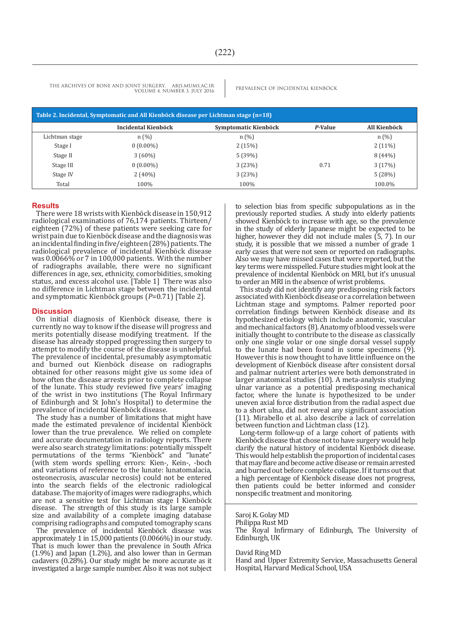THE ARCHIVES OF BONE AND JOINT SURGERY. ABJS.MUMS.AC.IR PREVALENCE OF INCIDENTAL KIENBÖCK VOLUME 4. NUMBER 3. JULY 2016

| Table 2. Incidental, Symptomatic and All Kienböck disease per Lichtman stage (n=18) |                     |                      |         |              |  |  |
|-------------------------------------------------------------------------------------|---------------------|----------------------|---------|--------------|--|--|
|                                                                                     | Incidental Kienböck | Symptomatic Kienböck | P-Value | All Kienböck |  |  |
| Lichtman stage                                                                      | n(%)                | n(%)                 |         | n(%)         |  |  |
| Stage I                                                                             | $0(0.00\%)$         | 2(15%)               |         | $2(11\%)$    |  |  |
| Stage II                                                                            | $3(60\%)$           | 5(39%)               |         | 8(44%)       |  |  |
| Stage III                                                                           | $0(0.00\%)$         | 3(23%)               | 0.71    | 3(17%)       |  |  |
| Stage IV                                                                            | $2(40\%)$           | 3(23%)               |         | 5(28%)       |  |  |
| Total                                                                               | 100%                | 100%                 |         | 100.0%       |  |  |

#### **Results**

There were 18 wrists with Kienböck disease in 150,912 radiological examinations of 76,174 patients. Thirteen/ eighteen (72%) of these patients were seeking care for wrist pain due to Kienböck disease and the diagnosis was an incidental finding in five/eighteen (28%) patients. The radiological prevalence of incidental Kienböck disease was 0.0066% or 7 in 100,000 patients. With the number of radiographs available, there were no significant differences in age, sex, ethnicity, comorbidities, smoking status, and excess alcohol use. [Table 1] There was also no difference in Lichtman stage between the incidental and symptomatic Kienböck groups (*P*=0.71) [Table 2].

#### **Discussion**

On initial diagnosis of Kienböck disease, there is currently no way to know if the disease will progress and merits potentially disease modifying treatment. If the disease has already stopped progressing then surgery to attempt to modify the course of the disease is unhelpful. The prevalence of incidental, presumably asymptomatic and burned out Kienböck disease on radiographs obtained for other reasons might give us some idea of how often the disease arrests prior to complete collapse of the lunate. This study reviewed five years' imaging of the wrist in two institutions (The Royal Infirmary of Edinburgh and St John's Hospital) to determine the prevalence of incidental Kienböck disease.

The study has a number of limitations that might have made the estimated prevalence of incidental Kienböck lower than the true prevalence. We relied on complete and accurate documentation in radiology reports. There were also search strategy limitations: potentially misspelt permutations of the terms "Kienböck" and "lunate" (with stem words spelling errors: Kien-, Kein-, -boch and variations of reference to the lunate: lunatomalacia, osteonecrosis, avascular necrosis) could not be entered into the search fields of the electronic radiological database. The majority of images were radiographs, which are not a sensitive test for Lichtman stage I Kienböck disease. The strength of this study is its large sample size and availability of a complete imaging database comprising radiographs and computed tomography scans

The prevalence of incidental Kienböck disease was approximately 1 in 15,000 patients (0.0066%) in our study. That is much lower than the prevalence in South Africa  $(1.9\%)$  and Japan  $(1.2\%)$ , and also lower than in German cadavers (0.28%). Our study might be more accurate as it investigated a large sample number. Also it was not subject

to selection bias from specific subpopulations as in the previously reported studies. A study into elderly patients showed Kienböck to increase with age, so the prevalence in the study of elderly Japanese might be expected to be higher, however they did not include males (5, 7). In our study, it is possible that we missed a number of grade 1 early cases that were not seen or reported on radiographs. Also we may have missed cases that were reported, but the key terms were misspelled. Future studies might look at the prevalence of incidental Kienböck on MRI, but it's unusual to order an MRI in the absence of wrist problems.

This study did not identify any predisposing risk factors associated with Kienböck disease or a correlation between Lichtman stage and symptoms. Palmer reported poor correlation findings between Kienböck disease and its hypothesized etiology which include anatomic, vascular and mechanical factors (8). Anatomy of blood vessels were initially thought to contribute to the disease as classically only one single volar or one single dorsal vessel supply to the lunate had been found in some specimens (9). However this is now thought to have little influence on the development of Kienböck disease after consistent dorsal and palmar nutrient arteries were both demonstrated in larger anatomical studies (10). A meta-analysis studying ulnar variance as a potential predisposing mechanical factor, where the lunate is hypothesized to be under uneven axial force distribution from the radial aspect due to a short ulna, did not reveal any significant association (11). Mirabello et al. also describe a lack of correlation between function and Lichtman class (12).

Long-term follow-up of a large cohort of patients with Kienböck disease that chose not to have surgery would help clarify the natural history of incidental Kienböck disease. This would help establish the proportion of incidental cases that may flare and become active disease or remain arrested and burned out before complete collapse. If it turns out that a high percentage of Kienböck disease does not progress, then patients could be better informed and consider nonspecific treatment and monitoring.

Philippa Rust MD

The Royal Infirmary of Edinburgh, The University of Edinburgh, UK

David Ring MD

Hand and Upper Extremity Service, Massachusetts General Hospital, Harvard Medical School, USA

Saroj K. Golay MD